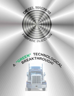

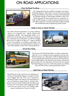# ON ROAD APPLICATIONS

#### Over the Road Trucking



Our independent drivers and fleet managers rave about the Diesel Magnum. SAE J1321 in service fuel consumption testing sponsored by Ford Motor Company and performed by Georgia Institute of Technology revealed a solid 15% overall savings! We have reports from our customers as high as 40% savings. In house emissions testing shows an over 50% reduction in harmful particulate matter as tested with the Red Mountain Engineering Smoke Check.

#### Medium Duty on Road Vehicles

No matter what the application our unique software allows us to program your vehicle, engine and application specific. This advantage allows us to maximize your savings and minimize your emissions. Our customers have reported to us with fuel mileage gains from 6.5 mpg to as high as 11 mpg on delivery trucks. The engines run smoother and quieter. The drivers love the power and appreciate the reduction in eye watering black smoke when making deliveries.





#### School Bus Fleets

Priority one with School Bus Fleets is emission reductions. After all, it is our children that are exposed to the harmful Diesel Emissions on a daily basis. With the Diesel Magnum we can significantly reduce the emissions while improving the bus fleets bottom line with fuel cost savings. Moving to a green solution for your fleet does not have to cost you green. The Diesel Magnum pays for it self and protects our children from harmful cancer causing particulate matter!

#### Light Duty on Road Vehicles

Diesel Pick Up Trucks and Cars are realizing true savings with the Diesel Magnum. Imagine turning your sluggish Pick Up Truck into a pavement pounding monster and reduce your fuel expense. If you are hauling a heavy load or racing at the quarter mile you will be thrilled with the safe power increase. No more black smoke fogging the road every time you punch it from over fueling. Safe power increases don't have to be dirty!

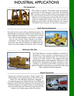# INDUSTRIAL APPLICATIONS

#### Port Equipment



RTG (rubber tire gantry). This familiar piece of equipment can be seen at most every port in the world. This particular RTG is saving in excess of 30% overall in fuel expense and is the only one at the port that isn't smoking! Smoother more efficient running equipment with less harmful emissions makes for happy dock workers. From pick up trucks to stationary power plants, the Diesel Magnum can improve the bottom line at any port on vast array of equipment.

#### Earth Moving Equipment

The earth can be moved without polluting the planet. The Diesel Magnum has proven itself on heavy Equipment as well as Agricultural Machinery. This Equipment is worked hard. With the Diesel Magnum wear & tear is reduced due too less harmful carbon deposits and better combustion. The oil stays cleaner and engine wear is minimized. Less stops for fueling is an added plus! The drivers rave about added horse power with no smoke!!



#### **Stationary Gen Sets**



The Diesel Magnum has been installed on hundreds of Generators in many countries. Promoting clean air and saving money is the absolute result. Our customers are saving up to 40% overall in fuel expense and and witnessing the black smoke disappear. Reductions in EGT (Exhaust Gas Temperature) has been realized on every installation, proof that harmful NOX is reduced as well. Resorts, Hospitals and business are breathing a little easier after installing the Diesel Magnum!

#### Airport Equipment

Airports are working to promote a "Green Image". The Diesel Magnum can certainly help do that while saving Green as well. Refueling Equipment, Baggage Transporting equipment, Deicing Trucks, Snow Removal equipment and Emergency Equipment all can benefit from the Diesel Magnum, saving the Airport on Fuel Expense while promoting clean air! Clean burning Propane is the solution now to help reduce carbon foot prints!